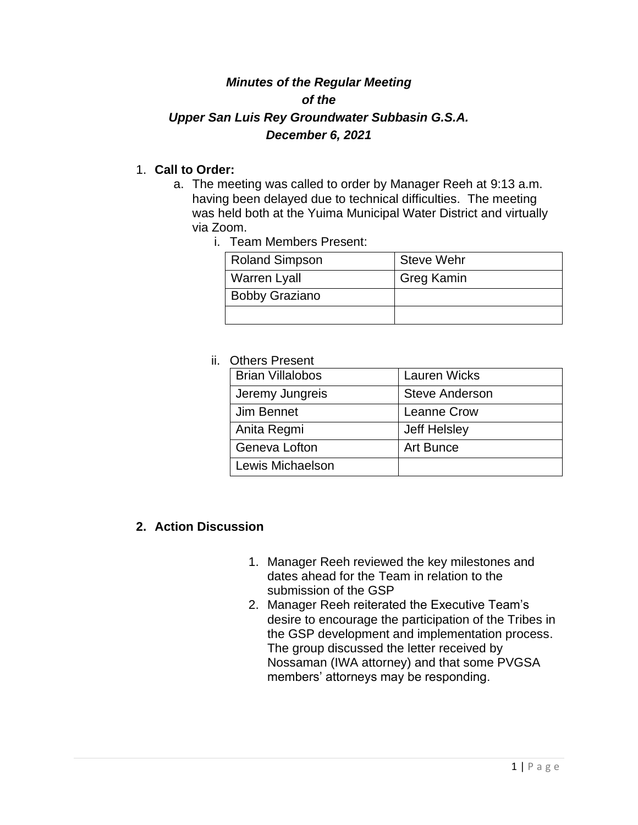# *Minutes of the Regular Meeting of the Upper San Luis Rey Groundwater Subbasin G.S.A. December 6, 2021*

### 1. **Call to Order:**

- a. The meeting was called to order by Manager Reeh at 9:13 a.m. having been delayed due to technical difficulties. The meeting was held both at the Yuima Municipal Water District and virtually via Zoom.
	- i. Team Members Present:

| <b>Roland Simpson</b> | <b>Steve Wehr</b> |
|-----------------------|-------------------|
| <b>Warren Lyall</b>   | <b>Greg Kamin</b> |
| <b>Bobby Graziano</b> |                   |
|                       |                   |

#### ii. Others Present

| <b>Brian Villalobos</b> | <b>Lauren Wicks</b>   |
|-------------------------|-----------------------|
| Jeremy Jungreis         | <b>Steve Anderson</b> |
| Jim Bennet              | <b>Leanne Crow</b>    |
| Anita Regmi             | <b>Jeff Helsley</b>   |
| Geneva Lofton           | Art Bunce             |
| Lewis Michaelson        |                       |

### **2. Action Discussion**

- 1. Manager Reeh reviewed the key milestones and dates ahead for the Team in relation to the submission of the GSP
- 2. Manager Reeh reiterated the Executive Team's desire to encourage the participation of the Tribes in the GSP development and implementation process. The group discussed the letter received by Nossaman (IWA attorney) and that some PVGSA members' attorneys may be responding.